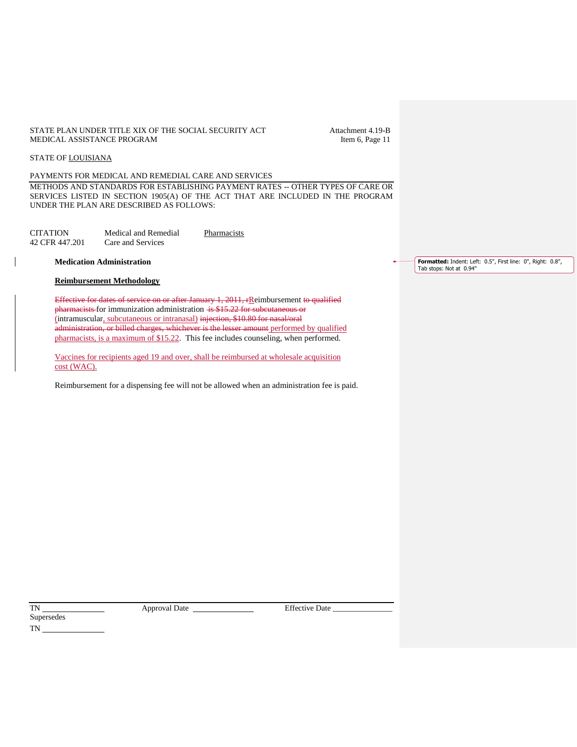#### STATE PLAN UNDER TITLE XIX OF THE SOCIAL SECURITY ACT Attachment 4.19-B<br>MEDICAL ASSISTANCE PROGRAM [tem 6, Page 11] MEDICAL ASSISTANCE PROGRAM

#### STATE OF LOUISIANA

PAYMENTS FOR MEDICAL AND REMEDIAL CARE AND SERVICES

METHODS AND STANDARDS FOR ESTABLISHING PAYMENT RATES -- OTHER TYPES OF CARE OR SERVICES LISTED IN SECTION 1905(A) OF THE ACT THAT ARE INCLUDED IN THE PROGRAM UNDER THE PLAN ARE DESCRIBED AS FOLLOWS:

| CITATION       | Medical and Remedial | Pharmacists |
|----------------|----------------------|-------------|
| 42 CFR 447.201 | Care and Services    |             |

**Medication Administration**

#### **Reimbursement Methodology**

Effective for dates of service on or after January 1, 2011, rReimbursement to qualified pharmacists for immunization administration is \$15.22 for subcutaneous or (intramuscular, subcutaneous or intranasal) injection, \$10.80 for nasal/oral administration, or billed charges, whichever is the lesser amount performed by qualified pharmacists, is a maximum of \$15.22. This fee includes counseling, when performed.

Vaccines for recipients aged 19 and over, shall be reimbursed at wholesale acquisition cost (WAC).

Reimbursement for a dispensing fee will not be allowed when an administration fee is paid.

TN Approval Date Effective Date \_\_\_\_\_\_\_\_\_\_\_\_\_\_\_

Supersedes TN

**Formatted:** Indent: Left: 0.5", First line: 0", Right: 0.8", Tab stops: Not at 0.94"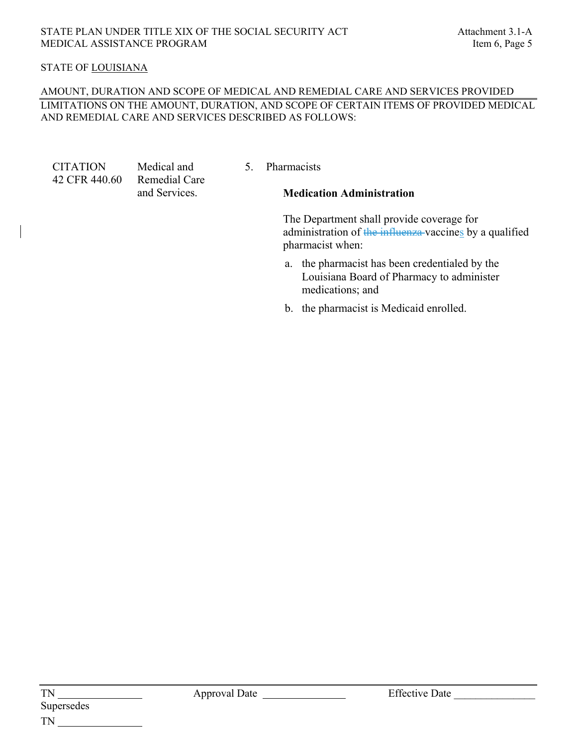# STATE OF LOUISIANA

### AMOUNT, DURATION AND SCOPE OF MEDICAL AND REMEDIAL CARE AND SERVICES PROVIDED LIMITATIONS ON THE AMOUNT, DURATION, AND SCOPE OF CERTAIN ITEMS OF PROVIDED MEDICAL AND REMEDIAL CARE AND SERVICES DESCRIBED AS FOLLOWS:

**CITATION** 42 CFR 440.60 Medical and Remedial Care and Services.

5. Pharmacists

### **Medication Administration**

The Department shall provide coverage for administration of the influenza vaccines by a qualified pharmacist when:

- a. the pharmacist has been credentialed by the Louisiana Board of Pharmacy to administer medications; and
- b. the pharmacist is Medicaid enrolled.